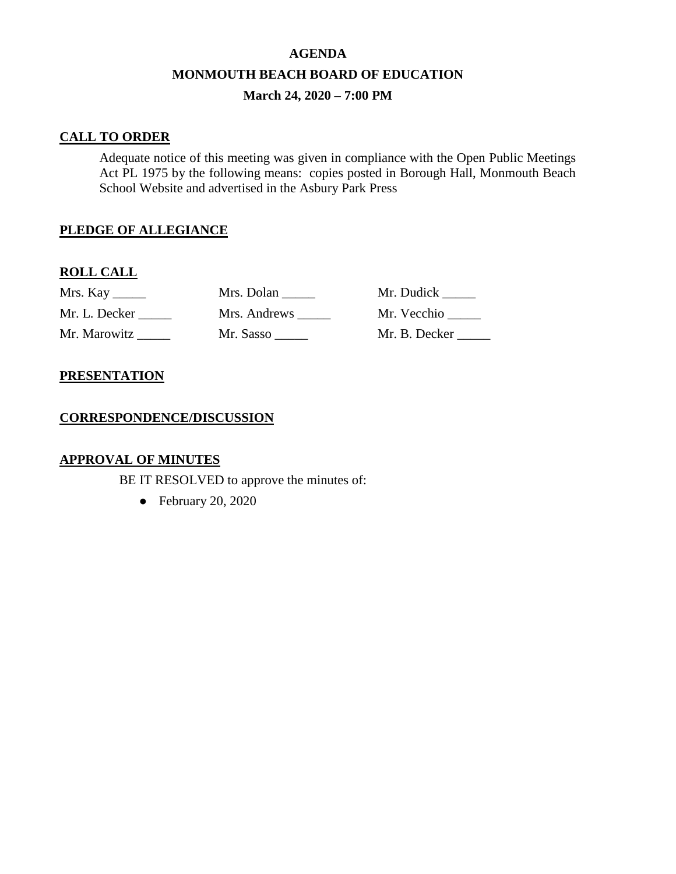# **AGENDA MONMOUTH BEACH BOARD OF EDUCATION March 24, 2020 – 7:00 PM**

### **CALL TO ORDER**

Adequate notice of this meeting was given in compliance with the Open Public Meetings Act PL 1975 by the following means: copies posted in Borough Hall, Monmouth Beach School Website and advertised in the Asbury Park Press

## **PLEDGE OF ALLEGIANCE**

## **ROLL CALL**

| Mrs. Kay      | Mrs. Dolan   | Mr. Dudick _____ |
|---------------|--------------|------------------|
| Mr. L. Decker | Mrs. Andrews | Mr. Vecchio      |
| Mr. Marowitz  | Mr. Sasso    | Mr. B. Decker    |

## **PRESENTATION**

### **CORRESPONDENCE/DISCUSSION**

## **APPROVAL OF MINUTES**

BE IT RESOLVED to approve the minutes of:

● February 20, 2020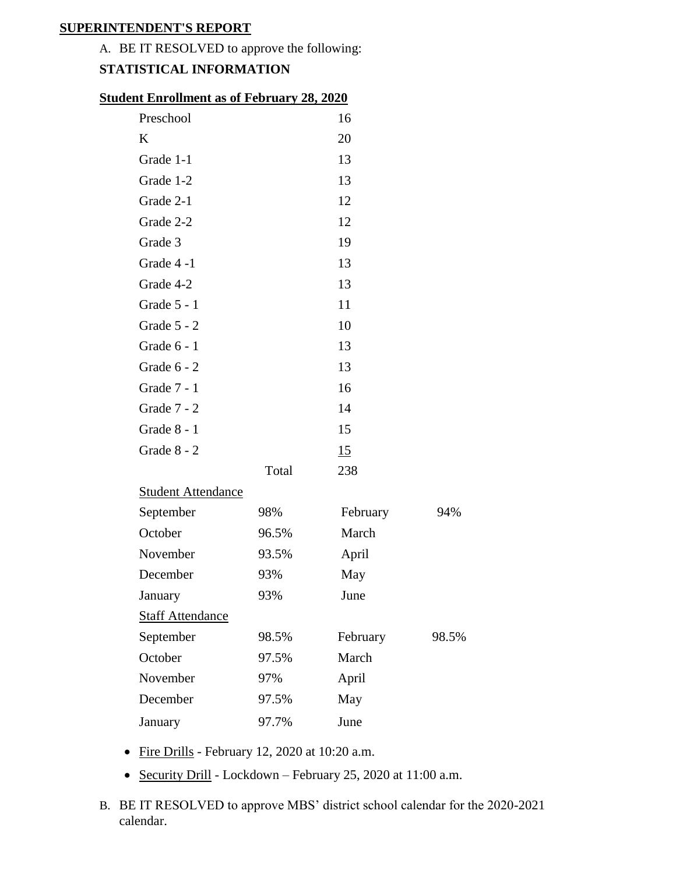## **SUPERINTENDENT'S REPORT**

## A. BE IT RESOLVED to approve the following:

## **STATISTICAL INFORMATION**

| Preschool                 |       | 16       |       |
|---------------------------|-------|----------|-------|
| K                         |       | 20       |       |
| Grade 1-1                 |       | 13       |       |
| Grade 1-2                 |       | 13       |       |
| Grade 2-1                 |       | 12       |       |
| Grade 2-2                 |       | 12       |       |
| Grade 3                   |       | 19       |       |
| Grade 4-1                 |       | 13       |       |
| Grade 4-2                 |       | 13       |       |
| Grade 5 - 1               |       | 11       |       |
| Grade $5 - 2$             |       | 10       |       |
| Grade $6 - 1$             |       | 13       |       |
| Grade $6 - 2$             |       | 13       |       |
| Grade 7 - 1               |       | 16       |       |
| Grade 7 - 2               |       | 14       |       |
| Grade 8 - 1               |       | 15       |       |
| Grade 8 - 2               |       | 15       |       |
|                           | Total | 238      |       |
| <b>Student Attendance</b> |       |          |       |
| September                 | 98%   | February | 94%   |
| October                   | 96.5% | March    |       |
| November                  | 93.5% | April    |       |
| December                  | 93%   | May      |       |
| January                   | 93%   | June     |       |
| <b>Staff Attendance</b>   |       |          |       |
| September                 | 98.5% | February | 98.5% |
| October                   | 97.5% | March    |       |
| November                  | 97%   | April    |       |
| December                  | 97.5% | May      |       |
| January                   | 97.7% | June     |       |

- Fire Drills February 12, 2020 at 10:20 a.m.
- Security Drill Lockdown February 25, 2020 at 11:00 a.m.
- B. BE IT RESOLVED to approve MBS' district school calendar for the 2020-2021 calendar.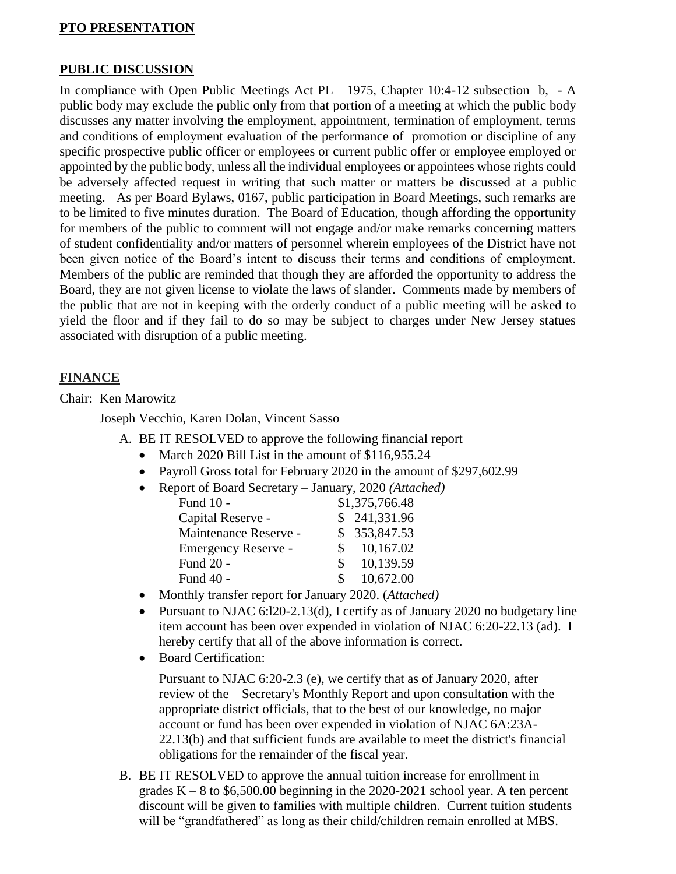## **PTO PRESENTATION**

#### **PUBLIC DISCUSSION**

In compliance with Open Public Meetings Act PL 1975, Chapter 10:4-12 subsection b, - A public body may exclude the public only from that portion of a meeting at which the public body discusses any matter involving the employment, appointment, termination of employment, terms and conditions of employment evaluation of the performance of promotion or discipline of any specific prospective public officer or employees or current public offer or employee employed or appointed by the public body, unless all the individual employees or appointees whose rights could be adversely affected request in writing that such matter or matters be discussed at a public meeting. As per Board Bylaws, 0167, public participation in Board Meetings, such remarks are to be limited to five minutes duration. The Board of Education, though affording the opportunity for members of the public to comment will not engage and/or make remarks concerning matters of student confidentiality and/or matters of personnel wherein employees of the District have not been given notice of the Board's intent to discuss their terms and conditions of employment. Members of the public are reminded that though they are afforded the opportunity to address the Board, they are not given license to violate the laws of slander. Comments made by members of the public that are not in keeping with the orderly conduct of a public meeting will be asked to yield the floor and if they fail to do so may be subject to charges under New Jersey statues associated with disruption of a public meeting.

#### **FINANCE**

Chair: Ken Marowitz

Joseph Vecchio, Karen Dolan, Vincent Sasso

- A. BE IT RESOLVED to approve the following financial report
	- March 2020 Bill List in the amount of \$116,955.24
	- Payroll Gross total for February 2020 in the amount of \$297,602.99
	- Report of Board Secretary January, 2020 *(Attached)*

| Fund 10 -             | \$1,375,766.48  |
|-----------------------|-----------------|
| Capital Reserve -     | \$241,331.96    |
| Maintenance Reserve - | \$ 353,847.53   |
| Emergency Reserve -   | 10,167.02       |
| Fund 20 -             | 10,139.59<br>S. |
| Fund 40 -             | 10,672.00<br>S. |

- Monthly transfer report for January 2020. (*Attached)*
- Pursuant to NJAC 6:120-2.13(d), I certify as of January 2020 no budgetary line item account has been over expended in violation of NJAC 6:20-22.13 (ad). I hereby certify that all of the above information is correct.
- Board Certification:

Pursuant to NJAC 6:20-2.3 (e), we certify that as of January 2020, after review of the Secretary's Monthly Report and upon consultation with the appropriate district officials, that to the best of our knowledge, no major account or fund has been over expended in violation of NJAC 6A:23A-22.13(b) and that sufficient funds are available to meet the district's financial obligations for the remainder of the fiscal year.

B. BE IT RESOLVED to approve the annual tuition increase for enrollment in grades  $K - 8$  to \$6,500.00 beginning in the 2020-2021 school year. A ten percent discount will be given to families with multiple children. Current tuition students will be "grandfathered" as long as their child/children remain enrolled at MBS.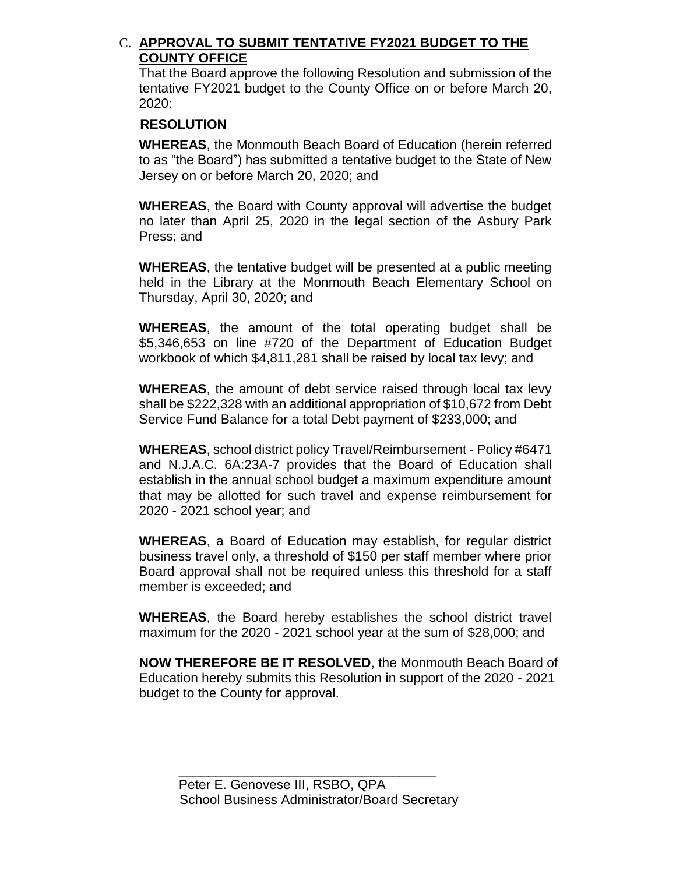## C. **APPROVAL TO SUBMIT TENTATIVE FY2021 BUDGET TO THE COUNTY OFFICE**

That the Board approve the following Resolution and submission of the tentative FY2021 budget to the County Office on or before March 20, 2020:

## **RESOLUTION**

**WHEREAS**, the Monmouth Beach Board of Education (herein referred to as "the Board") has submitted a tentative budget to the State of New Jersey on or before March 20, 2020; and

**WHEREAS**, the Board with County approval will advertise the budget no later than April 25, 2020 in the legal section of the Asbury Park Press; and

**WHEREAS**, the tentative budget will be presented at a public meeting held in the Library at the Monmouth Beach Elementary School on Thursday, April 30, 2020; and

**WHEREAS**, the amount of the total operating budget shall be \$5,346,653 on line #720 of the Department of Education Budget workbook of which \$4,811,281 shall be raised by local tax levy; and

**WHEREAS**, the amount of debt service raised through local tax levy shall be \$222,328 with an additional appropriation of \$10,672 from Debt Service Fund Balance for a total Debt payment of \$233,000; and

**WHEREAS**, school district policy Travel/Reimbursement - Policy #6471 and N.J.A.C. 6A:23A-7 provides that the Board of Education shall establish in the annual school budget a maximum expenditure amount that may be allotted for such travel and expense reimbursement for 2020 - 2021 school year; and

**WHEREAS**, a Board of Education may establish, for regular district business travel only, a threshold of \$150 per staff member where prior Board approval shall not be required unless this threshold for a staff member is exceeded; and

**WHEREAS**, the Board hereby establishes the school district travel maximum for the 2020 - 2021 school year at the sum of \$28,000; and

**NOW THEREFORE BE IT RESOLVED**, the Monmouth Beach Board of Education hereby submits this Resolution in support of the 2020 - 2021 budget to the County for approval.

\_\_\_\_\_\_\_\_\_\_\_\_\_\_\_\_\_\_\_\_\_\_\_\_\_\_\_\_\_\_\_\_\_\_\_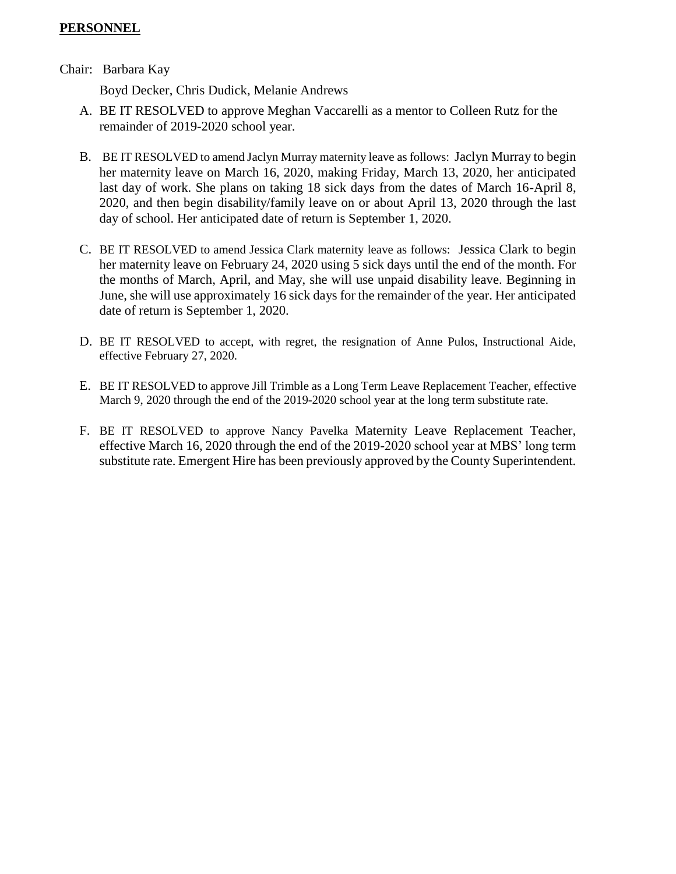## **PERSONNEL**

#### Chair: Barbara Kay

Boyd Decker, Chris Dudick, Melanie Andrews

- A. BE IT RESOLVED to approve Meghan Vaccarelli as a mentor to Colleen Rutz for the remainder of 2019-2020 school year.
- B. BE IT RESOLVED to amend Jaclyn Murray maternity leave as follows: Jaclyn Murray to begin her maternity leave on March 16, 2020, making Friday, March 13, 2020, her anticipated last day of work. She plans on taking 18 sick days from the dates of March 16-April 8, 2020, and then begin disability/family leave on or about April 13, 2020 through the last day of school. Her anticipated date of return is September 1, 2020.
- C. BE IT RESOLVED to amend Jessica Clark maternity leave as follows: Jessica Clark to begin her maternity leave on February 24, 2020 using 5 sick days until the end of the month. For the months of March, April, and May, she will use unpaid disability leave. Beginning in June, she will use approximately 16 sick days for the remainder of the year. Her anticipated date of return is September 1, 2020.
- D. BE IT RESOLVED to accept, with regret, the resignation of Anne Pulos, Instructional Aide, effective February 27, 2020.
- E. BE IT RESOLVED to approve Jill Trimble as a Long Term Leave Replacement Teacher, effective March 9, 2020 through the end of the 2019-2020 school year at the long term substitute rate.
- F. BE IT RESOLVED to approve Nancy Pavelka Maternity Leave Replacement Teacher, effective March 16, 2020 through the end of the 2019-2020 school year at MBS' long term substitute rate. Emergent Hire has been previously approved by the County Superintendent.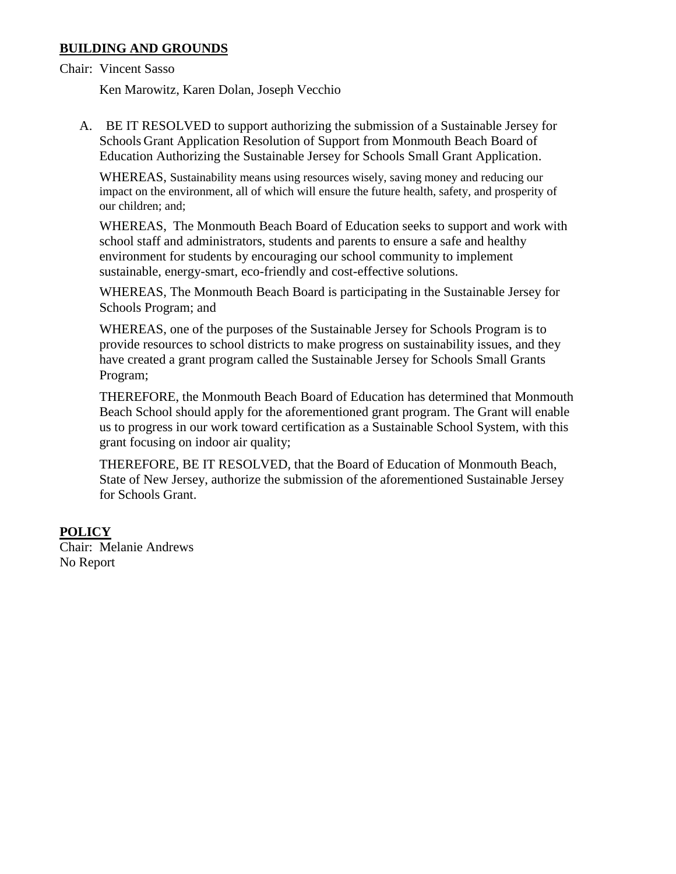## **BUILDING AND GROUNDS**

Chair: Vincent Sasso

Ken Marowitz, Karen Dolan, Joseph Vecchio

A. BE IT RESOLVED to support authorizing the submission of a Sustainable Jersey for Schools Grant Application Resolution of Support from Monmouth Beach Board of Education Authorizing the Sustainable Jersey for Schools Small Grant Application.

WHEREAS, Sustainability means using resources wisely, saving money and reducing our impact on the environment, all of which will ensure the future health, safety, and prosperity of our children; and;

WHEREAS, The Monmouth Beach Board of Education seeks to support and work with school staff and administrators, students and parents to ensure a safe and healthy environment for students by encouraging our school community to implement sustainable, energy-smart, eco-friendly and cost-effective solutions.

WHEREAS, The Monmouth Beach Board is participating in the Sustainable Jersey for Schools Program; and

WHEREAS, one of the purposes of the Sustainable Jersey for Schools Program is to provide resources to school districts to make progress on sustainability issues, and they have created a grant program called the Sustainable Jersey for Schools Small Grants Program;

THEREFORE, the Monmouth Beach Board of Education has determined that Monmouth Beach School should apply for the aforementioned grant program. The Grant will enable us to progress in our work toward certification as a Sustainable School System, with this grant focusing on indoor air quality;

THEREFORE, BE IT RESOLVED, that the Board of Education of Monmouth Beach, State of New Jersey, authorize the submission of the aforementioned Sustainable Jersey for Schools Grant.

## **POLICY**

Chair: Melanie Andrews No Report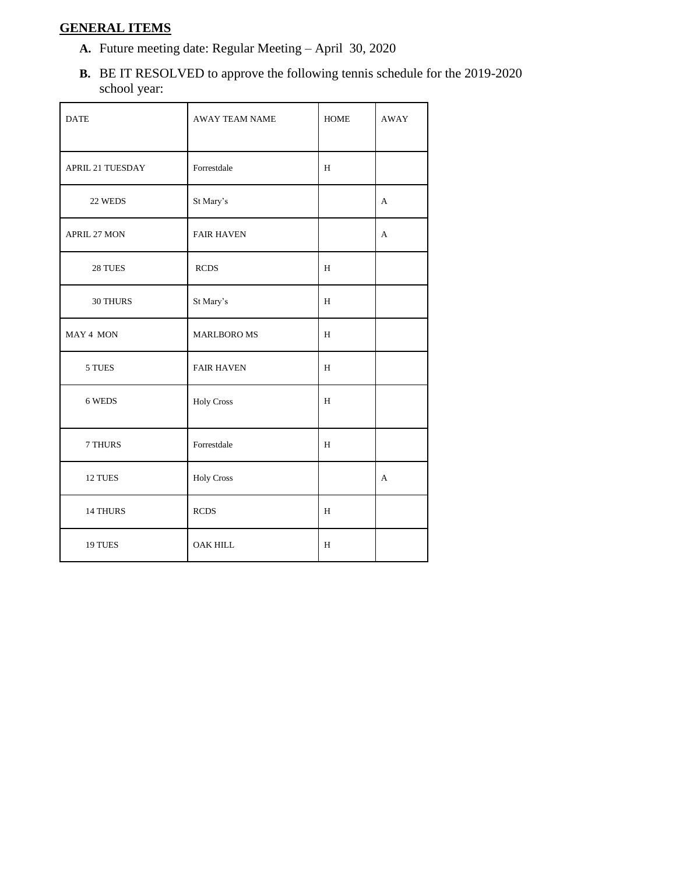## **GENERAL ITEMS**

- **A.** Future meeting date: Regular Meeting April 30, 2020
- **B.** BE IT RESOLVED to approve the following tennis schedule for the 2019-2020 school year:

| <b>DATE</b>             | <b>AWAY TEAM NAME</b> | <b>HOME</b> | <b>AWAY</b> |
|-------------------------|-----------------------|-------------|-------------|
| <b>APRIL 21 TUESDAY</b> | Forrestdale           | H           |             |
| 22 WEDS                 | St Mary's             |             | А           |
| APRIL 27 MON            | <b>FAIR HAVEN</b>     |             | A           |
| 28 TUES                 | <b>RCDS</b>           | $\,$ H      |             |
| 30 THURS                | St Mary's             | H           |             |
| MAY 4 MON               | <b>MARLBORO MS</b>    | H           |             |
| 5 TUES                  | <b>FAIR HAVEN</b>     | H           |             |
| 6 WEDS                  | <b>Holy Cross</b>     | $\,$ H      |             |
| 7 THURS                 | Forrestdale           | H           |             |
| 12 TUES                 | <b>Holy Cross</b>     |             | А           |
| 14 THURS                | <b>RCDS</b>           | H           |             |
| 19 TUES                 | <b>OAK HILL</b>       | $\,$ H      |             |